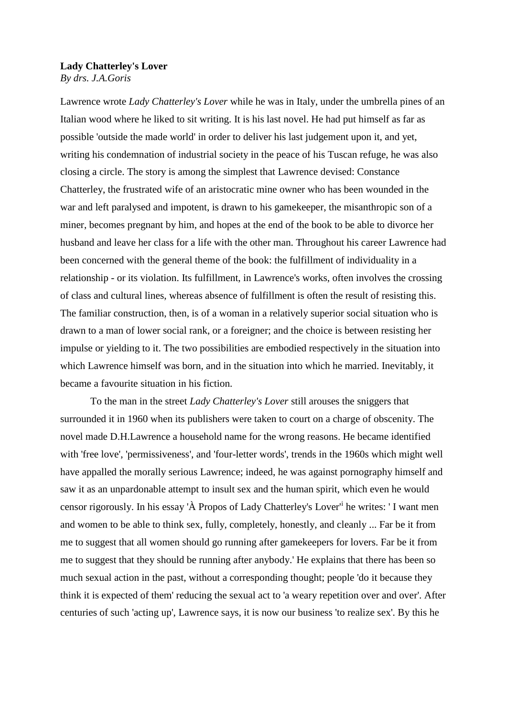## **Lady Chatterley's Lover**

*By drs. J.A.Goris*

Lawrence wrote *Lady Chatterley's Lover* while he was in Italy, under the umbrella pines of an Italian wood where he liked to sit writing. It is his last novel. He had put himself as far as possible 'outside the made world' in order to deliver his last judgement upon it, and yet, writing his condemnation of industrial society in the peace of his Tuscan refuge, he was also closing a circle. The story is among the simplest that Lawrence devised: Constance Chatterley, the frustrated wife of an aristocratic mine owner who has been wounded in the war and left paralysed and impotent, is drawn to his gamekeeper, the misanthropic son of a miner, becomes pregnant by him, and hopes at the end of the book to be able to divorce her husband and leave her class for a life with the other man. Throughout his career Lawrence had been concerned with the general theme of the book: the fulfillment of individuality in a relationship - or its violation. Its fulfillment, in Lawrence's works, often involves the crossing of class and cultural lines, whereas absence of fulfillment is often the result of resisting this. The familiar construction, then, is of a woman in a relatively superior social situation who is drawn to a man of lower social rank, or a foreigner; and the choice is between resisting her impulse or yielding to it. The two possibilities are embodied respectively in the situation into which Lawrence himself was born, and in the situation into which he married. Inevitably, it became a favourite situation in his fiction.

To the man in the street *Lady Chatterley's Lover* still arouses the sniggers that surrounded it in 1960 when its publishers were taken to court on a charge of obscenity. The novel made D.H.Lawrence a household name for the wrong reasons. He became identified with 'free love', 'permissiveness', and 'four-letter words', trends in the 1960s which might well have appalled the morally serious Lawrence; indeed, he was against pornography himself and saw it as an unpardonable attempt to insult sex and the human spirit, which even he would censor rigorously. In his essay 'À Propos of Lady Chatterley's Lover<sup>d</sup> he writes: 'I want men and women to be able to think sex, fully, completely, honestly, and cleanly ... Far be it from me to suggest that all women should go running after gamekeepers for lovers. Far be it from me to suggest that they should be running after anybody.' He explains that there has been so much sexual action in the past, without a corresponding thought; people 'do it because they think it is expected of them' reducing the sexual act to 'a weary repetition over and over'. After centuries of such 'acting up', Lawrence says, it is now our business 'to realize sex'. By this he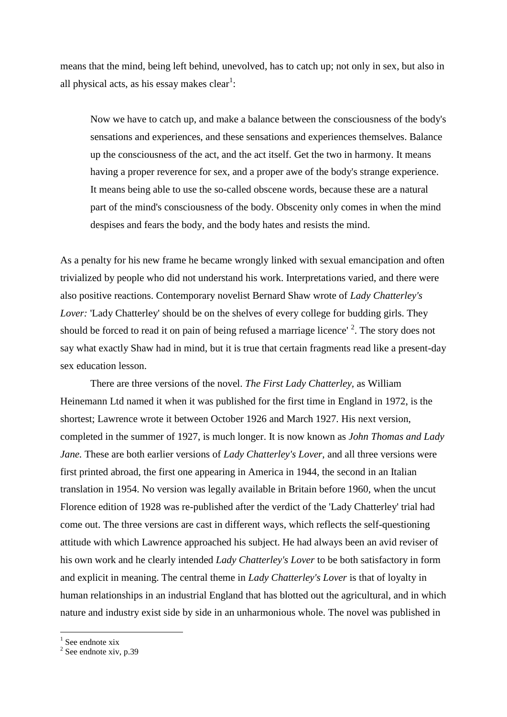means that the mind, being left behind, unevolved, has to catch up; not only in sex, but also in all physical acts, as his essay makes clear<sup>1</sup>:

Now we have to catch up, and make a balance between the consciousness of the body's sensations and experiences, and these sensations and experiences themselves. Balance up the consciousness of the act, and the act itself. Get the two in harmony. It means having a proper reverence for sex, and a proper awe of the body's strange experience. It means being able to use the so-called obscene words, because these are a natural part of the mind's consciousness of the body. Obscenity only comes in when the mind despises and fears the body, and the body hates and resists the mind.

As a penalty for his new frame he became wrongly linked with sexual emancipation and often trivialized by people who did not understand his work. Interpretations varied, and there were also positive reactions. Contemporary novelist Bernard Shaw wrote of *Lady Chatterley's Lover:* 'Lady Chatterley' should be on the shelves of every college for budding girls. They should be forced to read it on pain of being refused a marriage licence'  $2$ . The story does not say what exactly Shaw had in mind, but it is true that certain fragments read like a present-day sex education lesson.

There are three versions of the novel. *The First Lady Chatterley,* as William Heinemann Ltd named it when it was published for the first time in England in 1972, is the shortest; Lawrence wrote it between October 1926 and March 1927. His next version, completed in the summer of 1927, is much longer. It is now known as *John Thomas and Lady Jane.* These are both earlier versions of *Lady Chatterley's Lover,* and all three versions were first printed abroad, the first one appearing in America in 1944, the second in an Italian translation in 1954. No version was legally available in Britain before 1960, when the uncut Florence edition of 1928 was re-published after the verdict of the 'Lady Chatterley' trial had come out. The three versions are cast in different ways, which reflects the self-questioning attitude with which Lawrence approached his subject. He had always been an avid reviser of his own work and he clearly intended *Lady Chatterley's Lover* to be both satisfactory in form and explicit in meaning. The central theme in *Lady Chatterley's Lover* is that of loyalty in human relationships in an industrial England that has blotted out the agricultural, and in which nature and industry exist side by side in an unharmonious whole. The novel was published in

<sup>1</sup> See endnote xix

<u>.</u>

 $2$  See endnote xiv, p.39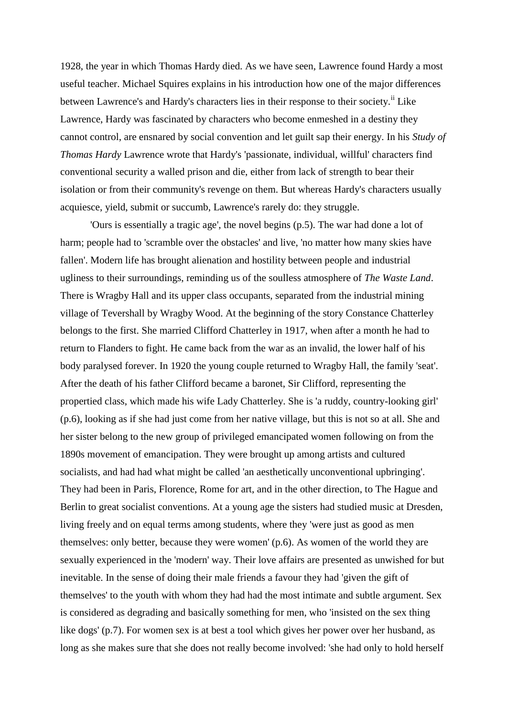1928, the year in which Thomas Hardy died. As we have seen, Lawrence found Hardy a most useful teacher. Michael Squires explains in his introduction how one of the major differences between Lawrence's and Hardy's characters lies in their response to their society.<sup>ii</sup> Like Lawrence, Hardy was fascinated by characters who become enmeshed in a destiny they cannot control, are ensnared by social convention and let guilt sap their energy. In his *Study of Thomas Hardy* Lawrence wrote that Hardy's 'passionate, individual, willful' characters find conventional security a walled prison and die, either from lack of strength to bear their isolation or from their community's revenge on them. But whereas Hardy's characters usually acquiesce, yield, submit or succumb, Lawrence's rarely do: they struggle.

'Ours is essentially a tragic age', the novel begins (p.5). The war had done a lot of harm; people had to 'scramble over the obstacles' and live, 'no matter how many skies have fallen'. Modern life has brought alienation and hostility between people and industrial ugliness to their surroundings, reminding us of the soulless atmosphere of *The Waste Land*. There is Wragby Hall and its upper class occupants, separated from the industrial mining village of Tevershall by Wragby Wood. At the beginning of the story Constance Chatterley belongs to the first. She married Clifford Chatterley in 1917, when after a month he had to return to Flanders to fight. He came back from the war as an invalid, the lower half of his body paralysed forever. In 1920 the young couple returned to Wragby Hall, the family 'seat'. After the death of his father Clifford became a baronet, Sir Clifford, representing the propertied class, which made his wife Lady Chatterley. She is 'a ruddy, country-looking girl' (p.6), looking as if she had just come from her native village, but this is not so at all. She and her sister belong to the new group of privileged emancipated women following on from the 1890s movement of emancipation. They were brought up among artists and cultured socialists, and had had what might be called 'an aesthetically unconventional upbringing'. They had been in Paris, Florence, Rome for art, and in the other direction, to The Hague and Berlin to great socialist conventions. At a young age the sisters had studied music at Dresden, living freely and on equal terms among students, where they 'were just as good as men themselves: only better, because they were women' (p.6). As women of the world they are sexually experienced in the 'modern' way. Their love affairs are presented as unwished for but inevitable. In the sense of doing their male friends a favour they had 'given the gift of themselves' to the youth with whom they had had the most intimate and subtle argument. Sex is considered as degrading and basically something for men, who 'insisted on the sex thing like dogs' (p.7). For women sex is at best a tool which gives her power over her husband, as long as she makes sure that she does not really become involved: 'she had only to hold herself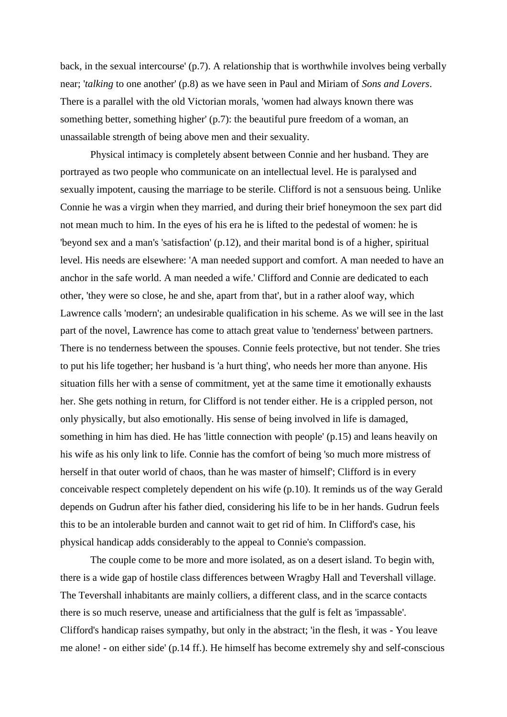back, in the sexual intercourse' (p.7). A relationship that is worthwhile involves being verbally near; '*talking* to one another' (p.8) as we have seen in Paul and Miriam of *Sons and Lovers*. There is a parallel with the old Victorian morals, 'women had always known there was something better, something higher' (p.7): the beautiful pure freedom of a woman, an unassailable strength of being above men and their sexuality.

Physical intimacy is completely absent between Connie and her husband. They are portrayed as two people who communicate on an intellectual level. He is paralysed and sexually impotent, causing the marriage to be sterile. Clifford is not a sensuous being. Unlike Connie he was a virgin when they married, and during their brief honeymoon the sex part did not mean much to him. In the eyes of his era he is lifted to the pedestal of women: he is 'beyond sex and a man's 'satisfaction' (p.12), and their marital bond is of a higher, spiritual level. His needs are elsewhere: 'A man needed support and comfort. A man needed to have an anchor in the safe world. A man needed a wife.' Clifford and Connie are dedicated to each other, 'they were so close, he and she, apart from that', but in a rather aloof way, which Lawrence calls 'modern'; an undesirable qualification in his scheme. As we will see in the last part of the novel, Lawrence has come to attach great value to 'tenderness' between partners. There is no tenderness between the spouses. Connie feels protective, but not tender. She tries to put his life together; her husband is 'a hurt thing', who needs her more than anyone. His situation fills her with a sense of commitment, yet at the same time it emotionally exhausts her. She gets nothing in return, for Clifford is not tender either. He is a crippled person, not only physically, but also emotionally. His sense of being involved in life is damaged, something in him has died. He has 'little connection with people' (p.15) and leans heavily on his wife as his only link to life. Connie has the comfort of being 'so much more mistress of herself in that outer world of chaos, than he was master of himself'; Clifford is in every conceivable respect completely dependent on his wife (p.10). It reminds us of the way Gerald depends on Gudrun after his father died, considering his life to be in her hands. Gudrun feels this to be an intolerable burden and cannot wait to get rid of him. In Clifford's case, his physical handicap adds considerably to the appeal to Connie's compassion.

The couple come to be more and more isolated, as on a desert island. To begin with, there is a wide gap of hostile class differences between Wragby Hall and Tevershall village. The Tevershall inhabitants are mainly colliers, a different class, and in the scarce contacts there is so much reserve, unease and artificialness that the gulf is felt as 'impassable'. Clifford's handicap raises sympathy, but only in the abstract; 'in the flesh, it was - You leave me alone! - on either side' (p.14 ff.). He himself has become extremely shy and self-conscious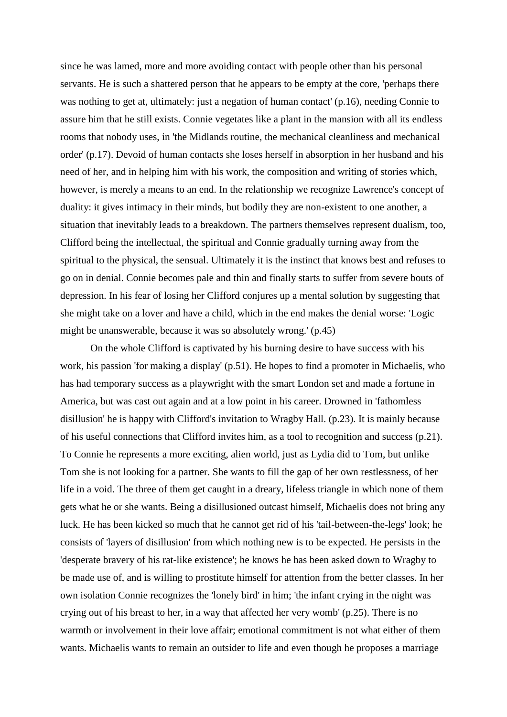since he was lamed, more and more avoiding contact with people other than his personal servants. He is such a shattered person that he appears to be empty at the core, 'perhaps there was nothing to get at, ultimately: just a negation of human contact' (p.16), needing Connie to assure him that he still exists. Connie vegetates like a plant in the mansion with all its endless rooms that nobody uses, in 'the Midlands routine, the mechanical cleanliness and mechanical order' (p.17). Devoid of human contacts she loses herself in absorption in her husband and his need of her, and in helping him with his work, the composition and writing of stories which, however, is merely a means to an end. In the relationship we recognize Lawrence's concept of duality: it gives intimacy in their minds, but bodily they are non-existent to one another, a situation that inevitably leads to a breakdown. The partners themselves represent dualism, too, Clifford being the intellectual, the spiritual and Connie gradually turning away from the spiritual to the physical, the sensual. Ultimately it is the instinct that knows best and refuses to go on in denial. Connie becomes pale and thin and finally starts to suffer from severe bouts of depression. In his fear of losing her Clifford conjures up a mental solution by suggesting that she might take on a lover and have a child, which in the end makes the denial worse: 'Logic might be unanswerable, because it was so absolutely wrong.' (p.45)

On the whole Clifford is captivated by his burning desire to have success with his work, his passion 'for making a display' (p.51). He hopes to find a promoter in Michaelis, who has had temporary success as a playwright with the smart London set and made a fortune in America, but was cast out again and at a low point in his career. Drowned in 'fathomless disillusion' he is happy with Clifford's invitation to Wragby Hall. (p.23). It is mainly because of his useful connections that Clifford invites him, as a tool to recognition and success (p.21). To Connie he represents a more exciting, alien world, just as Lydia did to Tom, but unlike Tom she is not looking for a partner. She wants to fill the gap of her own restlessness, of her life in a void. The three of them get caught in a dreary, lifeless triangle in which none of them gets what he or she wants. Being a disillusioned outcast himself, Michaelis does not bring any luck. He has been kicked so much that he cannot get rid of his 'tail-between-the-legs' look; he consists of 'layers of disillusion' from which nothing new is to be expected. He persists in the 'desperate bravery of his rat-like existence'; he knows he has been asked down to Wragby to be made use of, and is willing to prostitute himself for attention from the better classes. In her own isolation Connie recognizes the 'lonely bird' in him; 'the infant crying in the night was crying out of his breast to her, in a way that affected her very womb' (p.25). There is no warmth or involvement in their love affair; emotional commitment is not what either of them wants. Michaelis wants to remain an outsider to life and even though he proposes a marriage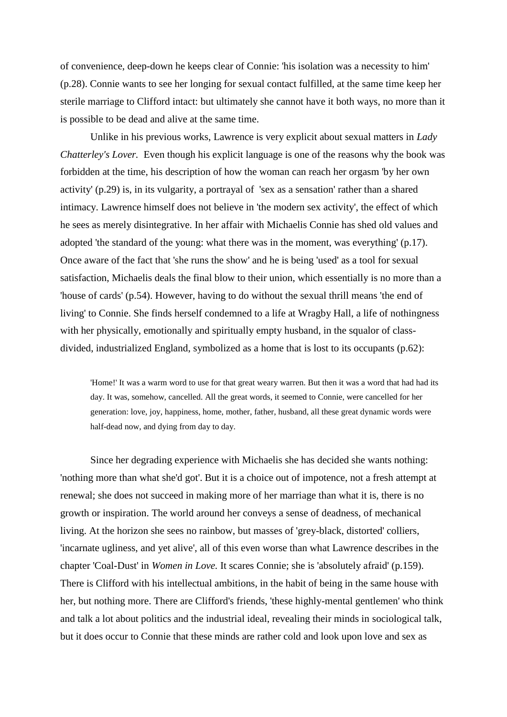of convenience, deep-down he keeps clear of Connie: 'his isolation was a necessity to him' (p.28). Connie wants to see her longing for sexual contact fulfilled, at the same time keep her sterile marriage to Clifford intact: but ultimately she cannot have it both ways, no more than it is possible to be dead and alive at the same time.

Unlike in his previous works, Lawrence is very explicit about sexual matters in *Lady Chatterley's Lover.* Even though his explicit language is one of the reasons why the book was forbidden at the time, his description of how the woman can reach her orgasm 'by her own activity' (p.29) is, in its vulgarity, a portrayal of 'sex as a sensation' rather than a shared intimacy. Lawrence himself does not believe in 'the modern sex activity', the effect of which he sees as merely disintegrative. In her affair with Michaelis Connie has shed old values and adopted 'the standard of the young: what there was in the moment, was everything' (p.17). Once aware of the fact that 'she runs the show' and he is being 'used' as a tool for sexual satisfaction, Michaelis deals the final blow to their union, which essentially is no more than a 'house of cards' (p.54). However, having to do without the sexual thrill means 'the end of living' to Connie. She finds herself condemned to a life at Wragby Hall, a life of nothingness with her physically, emotionally and spiritually empty husband, in the squalor of classdivided, industrialized England, symbolized as a home that is lost to its occupants (p.62):

'Home!' It was a warm word to use for that great weary warren. But then it was a word that had had its day. It was, somehow, cancelled. All the great words, it seemed to Connie, were cancelled for her generation: love, joy, happiness, home, mother, father, husband, all these great dynamic words were half-dead now, and dying from day to day.

Since her degrading experience with Michaelis she has decided she wants nothing: 'nothing more than what she'd got'. But it is a choice out of impotence, not a fresh attempt at renewal; she does not succeed in making more of her marriage than what it is, there is no growth or inspiration. The world around her conveys a sense of deadness, of mechanical living. At the horizon she sees no rainbow, but masses of 'grey-black, distorted' colliers, 'incarnate ugliness, and yet alive', all of this even worse than what Lawrence describes in the chapter 'Coal-Dust' in *Women in Love.* It scares Connie; she is 'absolutely afraid' (p.159). There is Clifford with his intellectual ambitions, in the habit of being in the same house with her, but nothing more. There are Clifford's friends, 'these highly-mental gentlemen' who think and talk a lot about politics and the industrial ideal, revealing their minds in sociological talk, but it does occur to Connie that these minds are rather cold and look upon love and sex as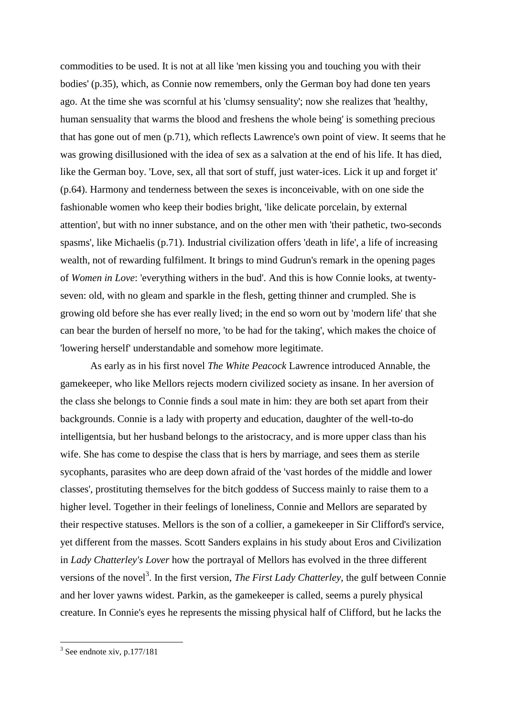commodities to be used. It is not at all like 'men kissing you and touching you with their bodies' (p.35), which, as Connie now remembers, only the German boy had done ten years ago. At the time she was scornful at his 'clumsy sensuality'; now she realizes that 'healthy, human sensuality that warms the blood and freshens the whole being' is something precious that has gone out of men (p.71), which reflects Lawrence's own point of view. It seems that he was growing disillusioned with the idea of sex as a salvation at the end of his life. It has died, like the German boy. 'Love, sex, all that sort of stuff, just water-ices. Lick it up and forget it' (p.64). Harmony and tenderness between the sexes is inconceivable, with on one side the fashionable women who keep their bodies bright, 'like delicate porcelain, by external attention', but with no inner substance, and on the other men with 'their pathetic, two-seconds spasms', like Michaelis (p.71). Industrial civilization offers 'death in life', a life of increasing wealth, not of rewarding fulfilment. It brings to mind Gudrun's remark in the opening pages of *Women in Love*: 'everything withers in the bud'. And this is how Connie looks, at twentyseven: old, with no gleam and sparkle in the flesh, getting thinner and crumpled. She is growing old before she has ever really lived; in the end so worn out by 'modern life' that she can bear the burden of herself no more, 'to be had for the taking', which makes the choice of 'lowering herself' understandable and somehow more legitimate.

As early as in his first novel *The White Peacock* Lawrence introduced Annable, the gamekeeper, who like Mellors rejects modern civilized society as insane. In her aversion of the class she belongs to Connie finds a soul mate in him: they are both set apart from their backgrounds. Connie is a lady with property and education, daughter of the well-to-do intelligentsia, but her husband belongs to the aristocracy, and is more upper class than his wife. She has come to despise the class that is hers by marriage, and sees them as sterile sycophants, parasites who are deep down afraid of the 'vast hordes of the middle and lower classes', prostituting themselves for the bitch goddess of Success mainly to raise them to a higher level. Together in their feelings of loneliness, Connie and Mellors are separated by their respective statuses. Mellors is the son of a collier, a gamekeeper in Sir Clifford's service, yet different from the masses. Scott Sanders explains in his study about Eros and Civilization in *Lady Chatterley's Lover* how the portrayal of Mellors has evolved in the three different versions of the novel<sup>3</sup>. In the first version, *The First Lady Chatterley*, the gulf between Connie and her lover yawns widest. Parkin, as the gamekeeper is called, seems a purely physical creature. In Connie's eyes he represents the missing physical half of Clifford, but he lacks the

 $3$  See endnote xiv, p.177/181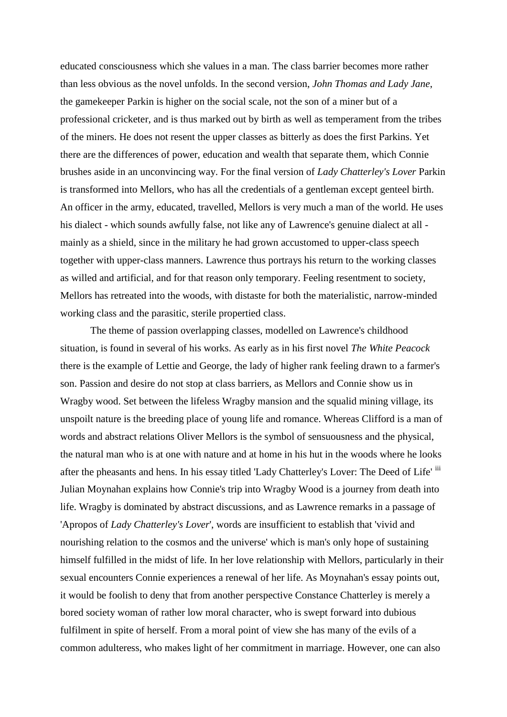educated consciousness which she values in a man. The class barrier becomes more rather than less obvious as the novel unfolds. In the second version, *John Thomas and Lady Jane*, the gamekeeper Parkin is higher on the social scale, not the son of a miner but of a professional cricketer, and is thus marked out by birth as well as temperament from the tribes of the miners. He does not resent the upper classes as bitterly as does the first Parkins. Yet there are the differences of power, education and wealth that separate them, which Connie brushes aside in an unconvincing way. For the final version of *Lady Chatterley's Lover* Parkin is transformed into Mellors, who has all the credentials of a gentleman except genteel birth. An officer in the army, educated, travelled, Mellors is very much a man of the world. He uses his dialect - which sounds awfully false, not like any of Lawrence's genuine dialect at all mainly as a shield, since in the military he had grown accustomed to upper-class speech together with upper-class manners. Lawrence thus portrays his return to the working classes as willed and artificial, and for that reason only temporary. Feeling resentment to society, Mellors has retreated into the woods, with distaste for both the materialistic, narrow-minded working class and the parasitic, sterile propertied class.

The theme of passion overlapping classes, modelled on Lawrence's childhood situation, is found in several of his works. As early as in his first novel *The White Peacock* there is the example of Lettie and George, the lady of higher rank feeling drawn to a farmer's son. Passion and desire do not stop at class barriers, as Mellors and Connie show us in Wragby wood. Set between the lifeless Wragby mansion and the squalid mining village, its unspoilt nature is the breeding place of young life and romance. Whereas Clifford is a man of words and abstract relations Oliver Mellors is the symbol of sensuousness and the physical, the natural man who is at one with nature and at home in his hut in the woods where he looks after the pheasants and hens. In his essay titled 'Lady Chatterley's Lover: The Deed of Life' iii Julian Moynahan explains how Connie's trip into Wragby Wood is a journey from death into life. Wragby is dominated by abstract discussions, and as Lawrence remarks in a passage of 'Apropos of *Lady Chatterley's Lover*', words are insufficient to establish that 'vivid and nourishing relation to the cosmos and the universe' which is man's only hope of sustaining himself fulfilled in the midst of life. In her love relationship with Mellors, particularly in their sexual encounters Connie experiences a renewal of her life. As Moynahan's essay points out, it would be foolish to deny that from another perspective Constance Chatterley is merely a bored society woman of rather low moral character, who is swept forward into dubious fulfilment in spite of herself. From a moral point of view she has many of the evils of a common adulteress, who makes light of her commitment in marriage. However, one can also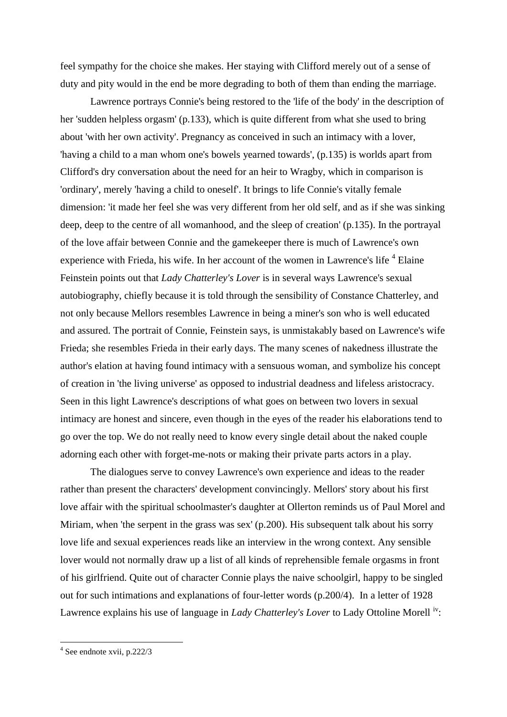feel sympathy for the choice she makes. Her staying with Clifford merely out of a sense of duty and pity would in the end be more degrading to both of them than ending the marriage.

Lawrence portrays Connie's being restored to the 'life of the body' in the description of her 'sudden helpless orgasm' (p.133), which is quite different from what she used to bring about 'with her own activity'. Pregnancy as conceived in such an intimacy with a lover, 'having a child to a man whom one's bowels yearned towards', (p.135) is worlds apart from Clifford's dry conversation about the need for an heir to Wragby, which in comparison is 'ordinary', merely 'having a child to oneself'. It brings to life Connie's vitally female dimension: 'it made her feel she was very different from her old self, and as if she was sinking deep, deep to the centre of all womanhood, and the sleep of creation' (p.135). In the portrayal of the love affair between Connie and the gamekeeper there is much of Lawrence's own experience with Frieda, his wife. In her account of the women in Lawrence's life  $4$  Elaine Feinstein points out that *Lady Chatterley's Lover* is in several ways Lawrence's sexual autobiography, chiefly because it is told through the sensibility of Constance Chatterley, and not only because Mellors resembles Lawrence in being a miner's son who is well educated and assured. The portrait of Connie, Feinstein says, is unmistakably based on Lawrence's wife Frieda; she resembles Frieda in their early days. The many scenes of nakedness illustrate the author's elation at having found intimacy with a sensuous woman, and symbolize his concept of creation in 'the living universe' as opposed to industrial deadness and lifeless aristocracy. Seen in this light Lawrence's descriptions of what goes on between two lovers in sexual intimacy are honest and sincere, even though in the eyes of the reader his elaborations tend to go over the top. We do not really need to know every single detail about the naked couple adorning each other with forget-me-nots or making their private parts actors in a play.

The dialogues serve to convey Lawrence's own experience and ideas to the reader rather than present the characters' development convincingly. Mellors' story about his first love affair with the spiritual schoolmaster's daughter at Ollerton reminds us of Paul Morel and Miriam, when 'the serpent in the grass was sex' (p.200). His subsequent talk about his sorry love life and sexual experiences reads like an interview in the wrong context. Any sensible lover would not normally draw up a list of all kinds of reprehensible female orgasms in front of his girlfriend. Quite out of character Connie plays the naive schoolgirl, happy to be singled out for such intimations and explanations of four-letter words (p.200/4). In a letter of 1928 Lawrence explains his use of language in *Lady Chatterley's Lover* to Lady Ottoline Morell<sup>iv</sup>:

1

<sup>4</sup> See endnote xvii, p.222/3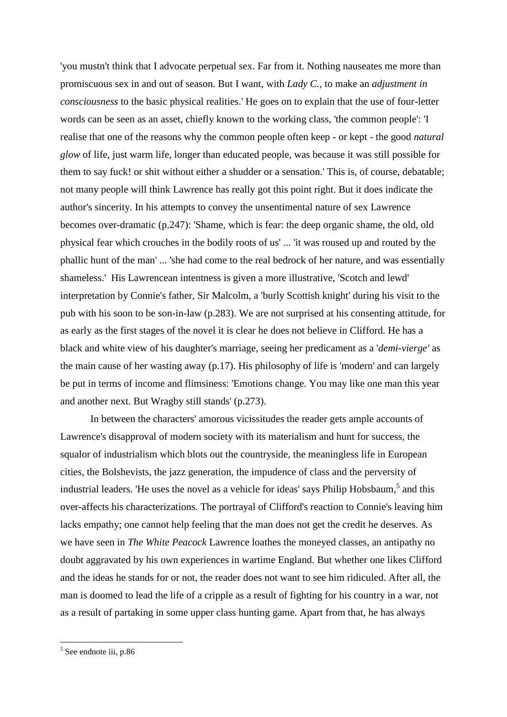'you mustn't think that I advocate perpetual sex. Far from it. Nothing nauseates me more than promiscuous sex in and out of season. But I want, with *Lady C.,* to make an *adjustment in consciousness* to the basic physical realities.' He goes on to explain that the use of four-letter words can be seen as an asset, chiefly known to the working class, 'the common people': 'I realise that one of the reasons why the common people often keep - or kept - the good *natural glow* of life, just warm life, longer than educated people, was because it was still possible for them to say fuck! or shit without either a shudder or a sensation.' This is, of course, debatable; not many people will think Lawrence has really got this point right. But it does indicate the author's sincerity. In his attempts to convey the unsentimental nature of sex Lawrence becomes over-dramatic (p.247): 'Shame, which is fear: the deep organic shame, the old, old physical fear which crouches in the bodily roots of us' ... 'it was roused up and routed by the phallic hunt of the man' ... 'she had come to the real bedrock of her nature, and was essentially shameless.' His Lawrencean intentness is given a more illustrative, 'Scotch and lewd' interpretation by Connie's father, Sir Malcolm, a 'burly Scottish knight' during his visit to the pub with his soon to be son-in-law (p.283). We are not surprised at his consenting attitude, for as early as the first stages of the novel it is clear he does not believe in Clifford. He has a black and white view of his daughter's marriage, seeing her predicament as a '*demi-vierge'* as the main cause of her wasting away (p.17). His philosophy of life is 'modern' and can largely be put in terms of income and flimsiness: 'Emotions change. You may like one man this year and another next. But Wragby still stands' (p.273).

In between the characters' amorous vicissitudes the reader gets ample accounts of Lawrence's disapproval of modern society with its materialism and hunt for success, the squalor of industrialism which blots out the countryside, the meaningless life in European cities, the Bolshevists, the jazz generation, the impudence of class and the perversity of industrial leaders. 'He uses the novel as a vehicle for ideas' says Philip Hobsbaum,<sup>5</sup> and this over-affects his characterizations. The portrayal of Clifford's reaction to Connie's leaving him lacks empathy; one cannot help feeling that the man does not get the credit he deserves. As we have seen in *The White Peacock* Lawrence loathes the moneyed classes, an antipathy no doubt aggravated by his own experiences in wartime England. But whether one likes Clifford and the ideas he stands for or not, the reader does not want to see him ridiculed. After all, the man is doomed to lead the life of a cripple as a result of fighting for his country in a war, not as a result of partaking in some upper class hunting game. Apart from that, he has always

<sup>&</sup>lt;sup>5</sup> See endnote iii, p.86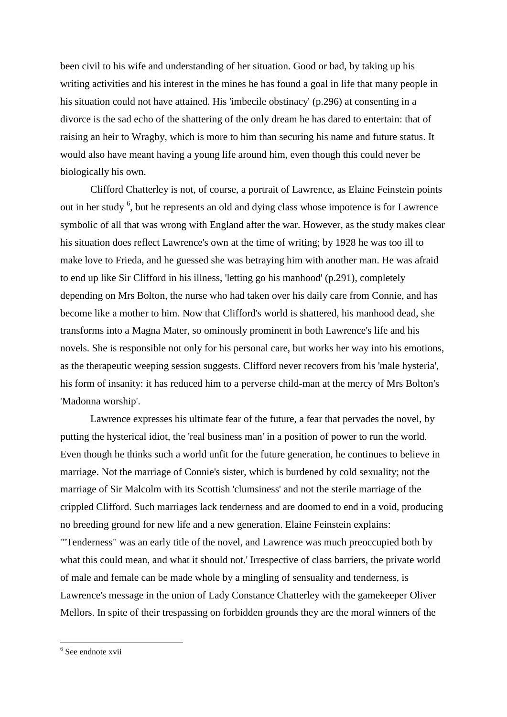been civil to his wife and understanding of her situation. Good or bad, by taking up his writing activities and his interest in the mines he has found a goal in life that many people in his situation could not have attained. His 'imbecile obstinacy' (p.296) at consenting in a divorce is the sad echo of the shattering of the only dream he has dared to entertain: that of raising an heir to Wragby, which is more to him than securing his name and future status. It would also have meant having a young life around him, even though this could never be biologically his own.

Clifford Chatterley is not, of course, a portrait of Lawrence, as Elaine Feinstein points out in her study <sup>6</sup>, but he represents an old and dying class whose impotence is for Lawrence symbolic of all that was wrong with England after the war. However, as the study makes clear his situation does reflect Lawrence's own at the time of writing; by 1928 he was too ill to make love to Frieda, and he guessed she was betraying him with another man. He was afraid to end up like Sir Clifford in his illness, 'letting go his manhood' (p.291), completely depending on Mrs Bolton, the nurse who had taken over his daily care from Connie, and has become like a mother to him. Now that Clifford's world is shattered, his manhood dead, she transforms into a Magna Mater, so ominously prominent in both Lawrence's life and his novels. She is responsible not only for his personal care, but works her way into his emotions, as the therapeutic weeping session suggests. Clifford never recovers from his 'male hysteria', his form of insanity: it has reduced him to a perverse child-man at the mercy of Mrs Bolton's 'Madonna worship'.

Lawrence expresses his ultimate fear of the future, a fear that pervades the novel, by putting the hysterical idiot, the 'real business man' in a position of power to run the world. Even though he thinks such a world unfit for the future generation, he continues to believe in marriage. Not the marriage of Connie's sister, which is burdened by cold sexuality; not the marriage of Sir Malcolm with its Scottish 'clumsiness' and not the sterile marriage of the crippled Clifford. Such marriages lack tenderness and are doomed to end in a void, producing no breeding ground for new life and a new generation. Elaine Feinstein explains: '"Tenderness" was an early title of the novel, and Lawrence was much preoccupied both by

what this could mean, and what it should not.' Irrespective of class barriers, the private world of male and female can be made whole by a mingling of sensuality and tenderness, is Lawrence's message in the union of Lady Constance Chatterley with the gamekeeper Oliver Mellors. In spite of their trespassing on forbidden grounds they are the moral winners of the

<sup>&</sup>lt;sup>6</sup> See endnote xvii